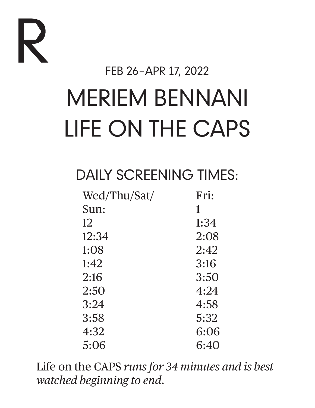

FEB 26–APR 17, 2022

# MERIEM BENNANI LIFE ON THE CAPS

# DAILY SCREENING TIMES:

| Fri: |
|------|
| 1    |
| 1:34 |
| 2:08 |
| 2:42 |
| 3:16 |
| 3:50 |
| 4:24 |
| 4:58 |
| 5:32 |
| 6:06 |
| 6:40 |
|      |

Life on the CAPS *runs for 34 minutes and is best watched beginning to end.*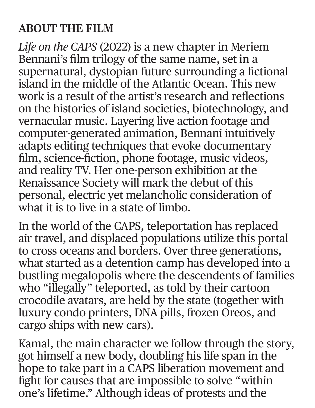### **ABOUT THE FILM**

*Life on the CAPS* (2022) is a new chapter in Meriem Bennani's film trilogy of the same name, set in a supernatural, dystopian future surrounding a fictional island in the middle of the Atlantic Ocean. This new work is a result of the artist's research and reflections on the histories of island societies, biotechnology, and vernacular music. Layering live action footage and computer-generated animation, Bennani intuitively adapts editing techniques that evoke documentary film, science-fiction, phone footage, music videos, and reality TV. Her one-person exhibition at the Renaissance Society will mark the debut of this personal, electric yet melancholic consideration of what it is to live in a state of limbo.

In the world of the CAPS, teleportation has replaced air travel, and displaced populations utilize this portal to cross oceans and borders. Over three generations, what started as a detention camp has developed into a bustling megalopolis where the descendents of families who "illegally" teleported, as told by their cartoon crocodile avatars, are held by the state (together with luxury condo printers, DNA pills, frozen Oreos, and cargo ships with new cars).

Kamal, the main character we follow through the story, got himself a new body, doubling his life span in the hope to take part in a CAPS liberation movement and fight for causes that are impossible to solve "within one's lifetime." Although ideas of protests and the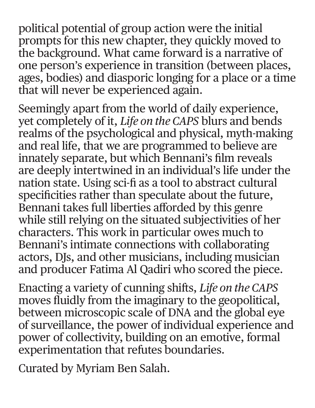political potential of group action were the initial prompts for this new chapter, they quickly moved to the background. What came forward is a narrative of one person's experience in transition (between places, ages, bodies) and diasporic longing for a place or a time that will never be experienced again.

Seemingly apart from the world of daily experience, yet completely of it, *Life on the CAPS* blurs and bends realms of the psychological and physical, myth-making and real life, that we are programmed to believe are innately separate, but which Bennani's film reveals are deeply intertwined in an individual's life under the nation state. Using sci-fi as a tool to abstract cultural specificities rather than speculate about the future, Bennani takes full liberties afforded by this genre while still relying on the situated subjectivities of her characters. This work in particular owes much to Bennani's intimate connections with collaborating actors, DJs, and other musicians, including musician and producer Fatima Al Qadiri who scored the piece.

Enacting a variety of cunning shifts, *Life on the CAPS* moves fluidly from the imaginary to the geopolitical, between microscopic scale of DNA and the global eye of surveillance, the power of individual experience and power of collectivity, building on an emotive, formal experimentation that refutes boundaries.

Curated by Myriam Ben Salah.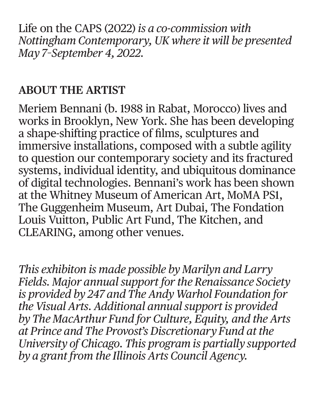Life on the CAPS (2022) *is a co-commission with Nottingham Contemporary, UK where it will be presented May 7–September 4, 2022.*

### **ABOUT THE ARTIST**

Meriem Bennani (b. 1988 in Rabat, Morocco) lives and works in Brooklyn, New York. She has been developing a shape-shifting practice of films, sculptures and immersive installations, composed with a subtle agility to question our contemporary society and its fractured systems, individual identity, and ubiquitous dominance of digital technologies. Bennani's work has been shown at the Whitney Museum of American Art, MoMA PS1, The Guggenheim Museum, Art Dubai, The Fondation Louis Vuitton, Public Art Fund, The Kitchen, and CLEARING, among other venues.

*This exhibiton is made possible by Marilyn and Larry Fields. Major annual support for the Renaissance Society is provided by 247 and The Andy Warhol Foundation for the Visual Arts. Additional annual support is provided by The MacArthur Fund for Culture, Equity, and the Arts at Prince and The Provost's Discretionary Fund at the University of Chicago. This program is partially supported by a grant from the Illinois Arts Council Agency.*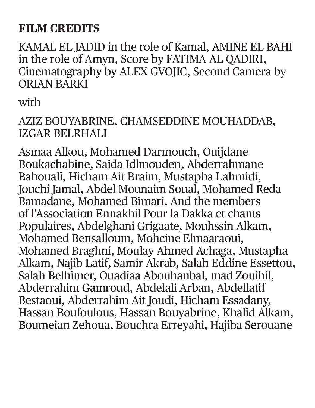# **FILM CREDITS**

KAMAL EL JADID in the role of Kamal, AMINE EL BAHI in the role of Amyn, Score by FATIMA AL QADIRI, Cinematography by ALEX GVOJIC, Second Camera by ORIAN BARKI

with

#### AZIZ BOUYABRINE, CHAMSEDDINE MOUHADDAB, IZGAR BELRHALI

Asmaa Alkou, Mohamed Darmouch, Ouijdane Boukachabine, Saida Idlmouden, Abderrahmane Bahouali, Hicham Ait Braim, Mustapha Lahmidi, Jouchi Jamal, Abdel Mounaim Soual, Mohamed Reda Bamadane, Mohamed Bimari. And the members of l'Association Ennakhil Pour la Dakka et chants Populaires, Abdelghani Grigaate, Mouhssin Alkam, Mohamed Bensalloum, Mohcine Elmaaraoui, Mohamed Braghni, Moulay Ahmed Achaga, Mustapha Alkam, Najib Latif, Samir Akrab, Salah Eddine Essettou, Salah Belhimer, Ouadiaa Abouhanbal, mad Zouihil, Abderrahim Gamroud, Abdelali Arban, Abdellatif Bestaoui, Abderrahim Ait Joudi, Hicham Essadany, Hassan Boufoulous, Hassan Bouyabrine, Khalid Alkam, Boumeian Zehoua, Bouchra Erreyahi, Hajiba Serouane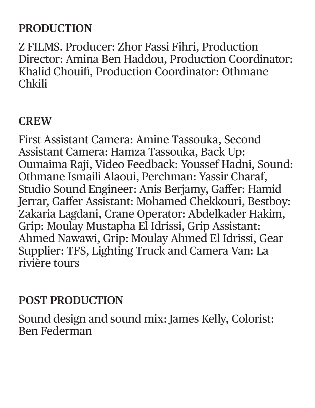# **PRODUCTION**

Z FILMS. Producer: Zhor Fassi Fihri, Production Director: Amina Ben Haddou, Production Coordinator: Khalid Chouifi, Production Coordinator: Othmane Chkili

#### **CREW**

First Assistant Camera: Amine Tassouka, Second Assistant Camera: Hamza Tassouka, Back Up: Oumaima Raji, Video Feedback: Youssef Hadni, Sound: Othmane Ismaili Alaoui, Perchman: Yassir Charaf, Studio Sound Engineer: Anis Berjamy, Gaffer: Hamid Jerrar, Gaffer Assistant: Mohamed Chekkouri, Bestboy: Zakaria Lagdani, Crane Operator: Abdelkader Hakim, Grip: Moulay Mustapha El Idrissi, Grip Assistant: Ahmed Nawawi, Grip: Moulay Ahmed El Idrissi, Gear Supplier: TFS, Lighting Truck and Camera Van: La rivière tours

#### **POST PRODUCTION**

Sound design and sound mix: James Kelly, Colorist: Ben Federman